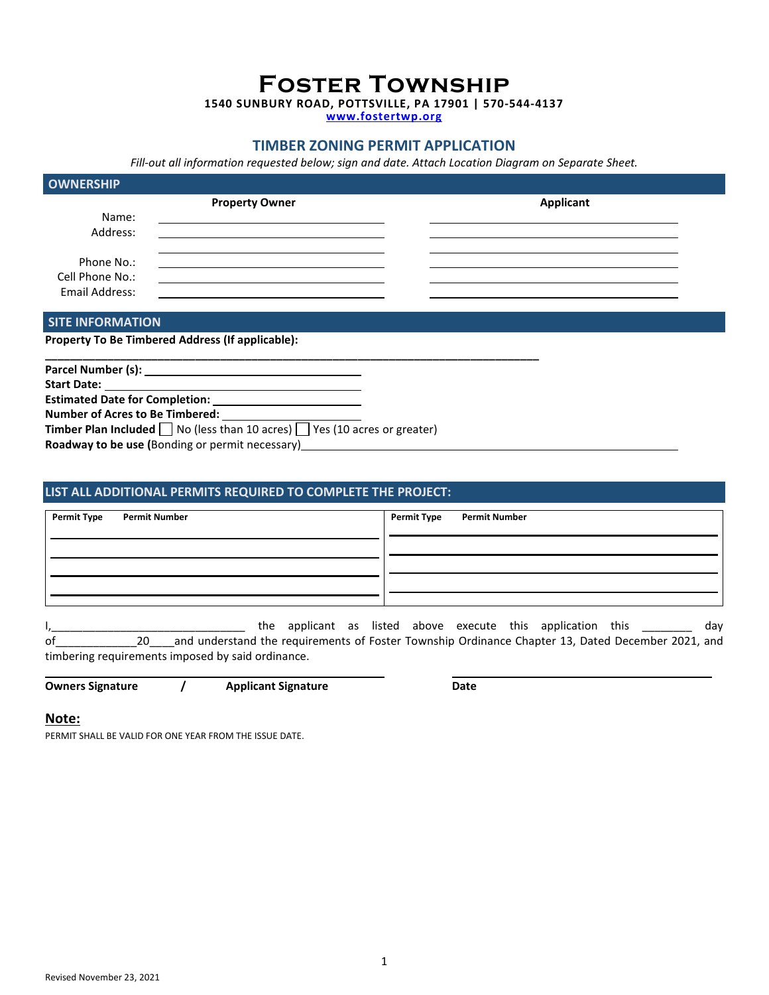**Foster Township** 

**1540 SUNBURY ROAD, POTTSVILLE, PA 17901 | 570-544-4137** 

**www.fostertwp.org**

## **TIMBER ZONING PERMIT APPLICATION**

*Fill-out all information requested below; sign and date. Attach Location Diagram on Separate Sheet.* 

| <b>OWNERSHIP</b> |                       |           |
|------------------|-----------------------|-----------|
|                  | <b>Property Owner</b> | Applicant |
| Name:            |                       |           |
| Address:         |                       |           |
| Phone No.:       |                       |           |
| Cell Phone No.:  |                       |           |
| Email Address:   |                       |           |

 **SITE INFORMATION** 

**Property To Be Timbered Address (If applicable):** 

| Number of Acres to Be Timbered:                                                             |
|---------------------------------------------------------------------------------------------|
| <b>Timber Plan Included</b> $\Box$ No (less than 10 acres) $\Box$ Yes (10 acres or greater) |
| Roadway to be use (Bonding or permit necessary)___                                          |
|                                                                                             |

## **LIST ALL ADDITIONAL PERMITS REQUIRED TO COMPLETE THE PROJECT:**

| <b>Permit Type</b><br><b>Permit Number</b> | Permit Type Permit Number |
|--------------------------------------------|---------------------------|
|                                            |                           |
|                                            |                           |
|                                            |                           |
|                                            |                           |

I,\_\_\_\_\_\_\_\_\_\_\_\_\_\_\_\_\_\_\_\_\_\_\_\_\_\_\_\_\_\_\_\_\_\_ the applicant as listed above execute this application this \_\_\_\_\_\_\_\_\_ day of\_\_\_\_\_\_\_\_\_\_\_\_\_20\_\_\_\_and understand the requirements of Foster Township Ordinance Chapter 13, Dated December 2021, and timbering requirements imposed by said ordinance.

**Owners Signature / Applicant Signature Community Community Community Community Community Community Community Community Community Community Community Community Community Community Community Community Community Community Co** 

## **Note:**

PERMIT SHALL BE VALID FOR ONE YEAR FROM THE ISSUE DATE.